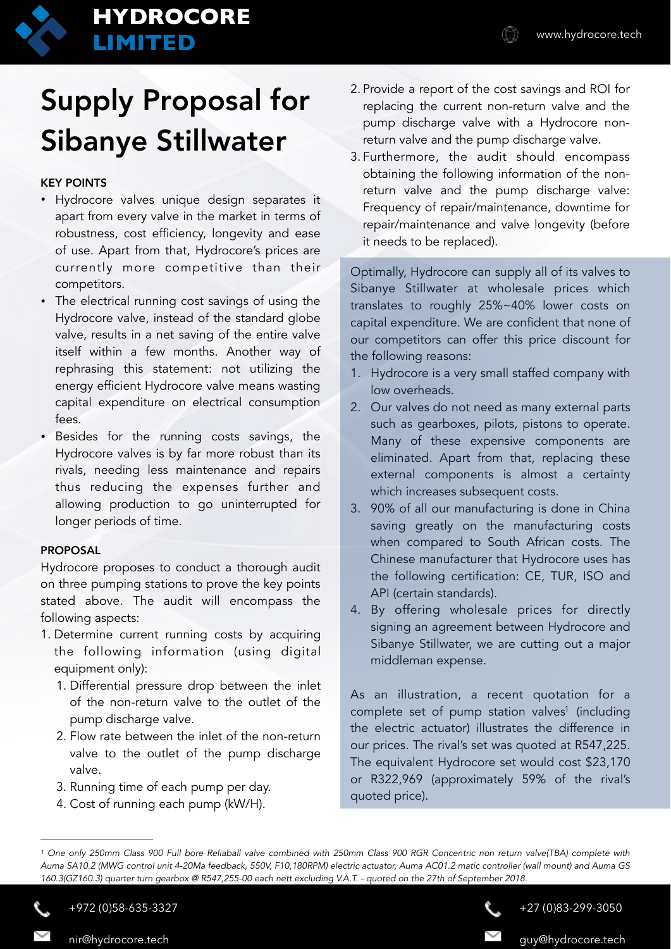

# **HYDROCORE LIMITED** www.hydrocore.tech

# Supply Proposal for Sibanye Stillwater

## KEY POINTS

- Hydrocore valves unique design separates it apart from every valve in the market in terms of robustness, cost efficiency, longevity and ease of use. Apart from that, Hydrocore's prices are currently more competitive than their competitors.
- The electrical running cost savings of using the Hydrocore valve, instead of the standard globe valve, results in a net saving of the entire valve itself within a few months. Another way of rephrasing this statement: not utilizing the energy efficient Hydrocore valve means wasting capital expenditure on electrical consumption fees.
- Besides for the running costs savings, the Hydrocore valves is by far more robust than its rivals, needing less maintenance and repairs thus reducing the expenses further and allowing production to go uninterrupted for longer periods of time.

### PROPOSAL

Hydrocore proposes to conduct a thorough audit on three pumping stations to prove the key points stated above. The audit will encompass the following aspects:

- 1. Determine current running costs by acquiring the following information (using digital equipment only):
	- 1. Differential pressure drop between the inlet of the non-return valve to the outlet of the pump discharge valve.
	- 2. Flow rate between the inlet of the non-return valve to the outlet of the pump discharge valve.
	- 3. Running time of each pump per day.
	- 4. Cost of running each pump (kW/H).
- 2. Provide a report of the cost savings and ROI for replacing the current non-return valve and the pump discharge valve with a Hydrocore nonreturn valve and the pump discharge valve.
- 3. Furthermore, the audit should encompass obtaining the following information of the nonreturn valve and the pump discharge valve: Frequency of repair/maintenance, downtime for repair/maintenance and valve longevity (before it needs to be replaced).

Optimally, Hydrocore can supply all of its valves to Sibanye Stillwater at wholesale prices which translates to roughly 25%~40% lower costs on capital expenditure. We are confident that none of our competitors can offer this price discount for the following reasons:

- 1. Hydrocore is a very small staffed company with low overheads.
- 2. Our valves do not need as many external parts such as gearboxes, pilots, pistons to operate. Many of these expensive components are eliminated. Apart from that, replacing these external components is almost a certainty which increases subsequent costs.
- 3. 90% of all our manufacturing is done in China saving greatly on the manufacturing costs when compared to South African costs. The Chinese manufacturer that Hydrocore uses has the following certification: CE, TUR, ISO and API (certain standards).
- 4. By offering wholesale prices for directly signing an agreement between Hydrocore and Sibanye Stillwater, we are cutting out a major middleman expense.

As an illustration, a recent quotation for a complete [s](#page-0-0)et of pump station valves<sup>[1](#page-0-0)</sup> (including the electric actuator) illustrates the difference in our prices. The rival's set was quoted at R547,225. The equivalent Hydrocore set would cost \$23,170 or R322,969 (approximately 59% of the rival's quoted price).

+972 (0)58-635-3327

nir@hydrocore.tech

<span id="page-0-1"></span>+27 (0)83-299-3050

guy@hydrocore.tech

<span id="page-0-0"></span><sup>&</sup>lt;sup>1</sup>One only 250mm Class 900 Full bore Reliaball valve combined with 250mm Class 900 RGR Concentric non return valve(TBA) complete with *Auma SA10.2 (MWG control unit 4-20Ma feedback, 550V, F10,180RPM) electric actuator, Auma AC01.2 matic controller (wall mount) and Auma GS 160.3(GZ160.3) quarter turn gearbox @ R547,255-00 each nett excluding V.A.T. - quoted on the 27th of September 2018.*